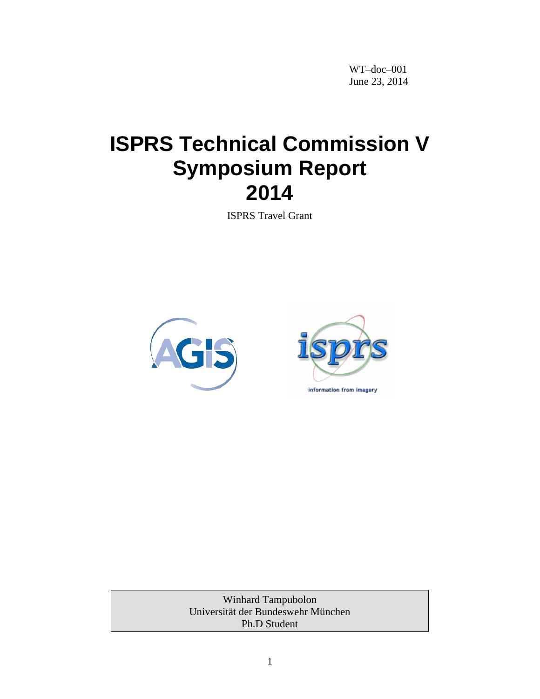WT–doc–001 June 23, 2014

# **ISPRS Technical Commission V Symposium Report 2014**

ISPRS Travel Grant



Winhard Tampubolon Universität der Bundeswehr München Ph.D Student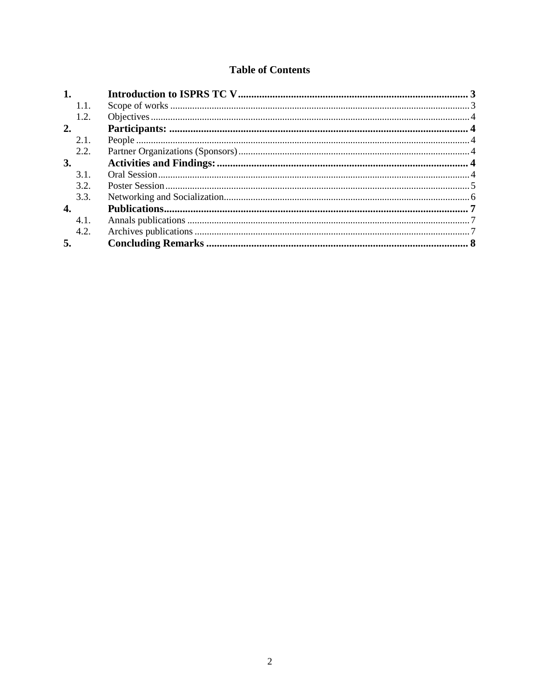## **Table of Contents**

| 1.        |  |
|-----------|--|
| 1.1.      |  |
| 1.2.      |  |
| 2.        |  |
| 2.1.      |  |
| 2.2.      |  |
| <b>3.</b> |  |
| 3.1.      |  |
| 3.2.      |  |
| 3.3.      |  |
| 4.        |  |
| 4.1.      |  |
| 4.2.      |  |
| 5.        |  |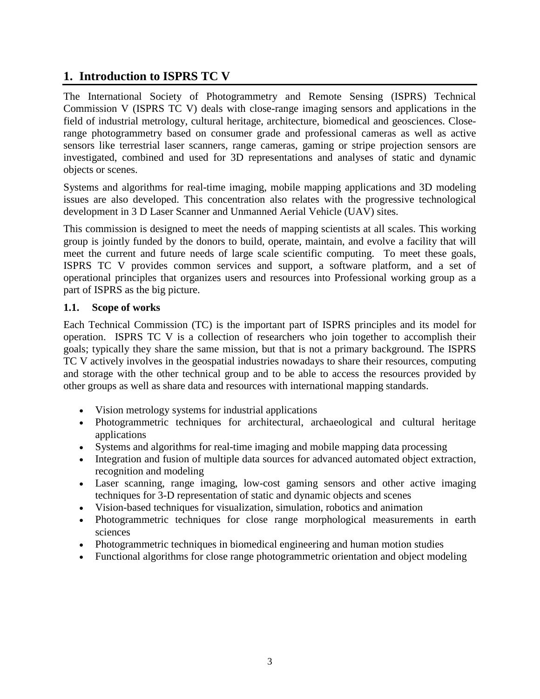## **1. Introduction to ISPRS TC V**

The International Society of Photogrammetry and Remote Sensing (ISPRS) Technical Commission V (ISPRS TC V) deals with close-range imaging sensors and applications in the field of industrial metrology, cultural heritage, architecture, biomedical and geosciences. Closerange photogrammetry based on consumer grade and professional cameras as well as active sensors like terrestrial laser scanners, range cameras, gaming or stripe projection sensors are investigated, combined and used for 3D representations and analyses of static and dynamic objects or scenes.

Systems and algorithms for real-time imaging, mobile mapping applications and 3D modeling issues are also developed. This concentration also relates with the progressive technological development in 3 D Laser Scanner and Unmanned Aerial Vehicle (UAV) sites.

This commission is designed to meet the needs of mapping scientists at all scales. This working group is jointly funded by the donors to build, operate, maintain, and evolve a facility that will meet the current and future needs of large scale scientific computing. To meet these goals, ISPRS TC V provides common services and support, a software platform, and a set of operational principles that organizes users and resources into Professional working group as a part of ISPRS as the big picture.

## **1.1. Scope of works**

Each Technical Commission (TC) is the important part of ISPRS principles and its model for operation. ISPRS TC V is a collection of researchers who join together to accomplish their goals; typically they share the same mission, but that is not a primary background. The ISPRS TC V actively involves in the geospatial industries nowadays to share their resources, computing and storage with the other technical group and to be able to access the resources provided by other groups as well as share data and resources with international mapping standards.

- Vision metrology systems for industrial applications
- Photogrammetric techniques for architectural, archaeological and cultural heritage applications
- Systems and algorithms for real-time imaging and mobile mapping data processing
- Integration and fusion of multiple data sources for advanced automated object extraction, recognition and modeling
- Laser scanning, range imaging, low-cost gaming sensors and other active imaging techniques for 3-D representation of static and dynamic objects and scenes
- Vision-based techniques for visualization, simulation, robotics and animation
- Photogrammetric techniques for close range morphological measurements in earth sciences
- Photogrammetric techniques in biomedical engineering and human motion studies
- Functional algorithms for close range photogrammetric orientation and object modeling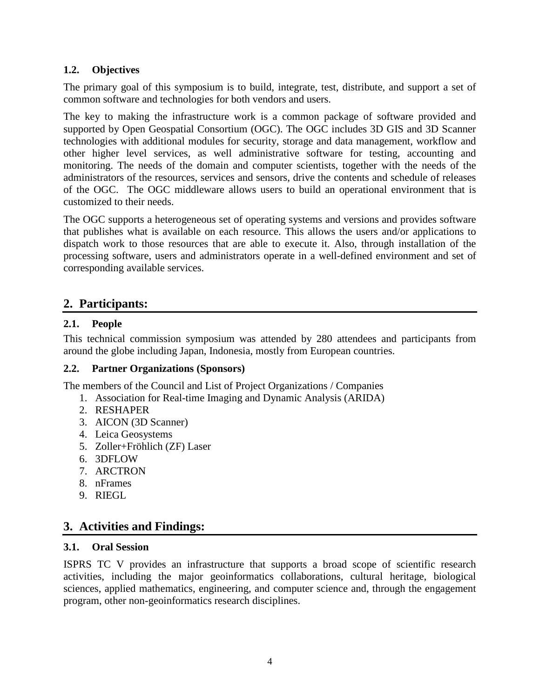#### **1.2. Objectives**

The primary goal of this symposium is to build, integrate, test, distribute, and support a set of common software and technologies for both vendors and users.

The key to making the infrastructure work is a common package of software provided and supported by Open Geospatial Consortium (OGC). The OGC includes 3D GIS and 3D Scanner technologies with additional modules for security, storage and data management, workflow and other higher level services, as well administrative software for testing, accounting and monitoring. The needs of the domain and computer scientists, together with the needs of the administrators of the resources, services and sensors, drive the contents and schedule of releases of the OGC. The OGC middleware allows users to build an operational environment that is customized to their needs.

The OGC supports a heterogeneous set of operating systems and versions and provides software that publishes what is available on each resource. This allows the users and/or applications to dispatch work to those resources that are able to execute it. Also, through installation of the processing software, users and administrators operate in a well-defined environment and set of corresponding available services.

## **2. Participants:**

## **2.1. People**

This technical commission symposium was attended by 280 attendees and participants from around the globe including Japan, Indonesia, mostly from European countries.

## **2.2. Partner Organizations (Sponsors)**

The members of the Council and List of Project Organizations / Companies

- 1. Association for Real-time Imaging and Dynamic Analysis (ARIDA)
- 2. RESHAPER
- 3. AICON (3D Scanner)
- 4. Leica Geosystems
- 5. Zoller+Fröhlich (ZF) Laser
- 6. 3DFLOW
- 7. ARCTRON
- 8. nFrames
- 9. RIEGL

## **3. Activities and Findings:**

#### **3.1. Oral Session**

ISPRS TC V provides an infrastructure that supports a broad scope of scientific research activities, including the major geoinformatics collaborations, cultural heritage, biological sciences, applied mathematics, engineering, and computer science and, through the engagement program, other non-geoinformatics research disciplines.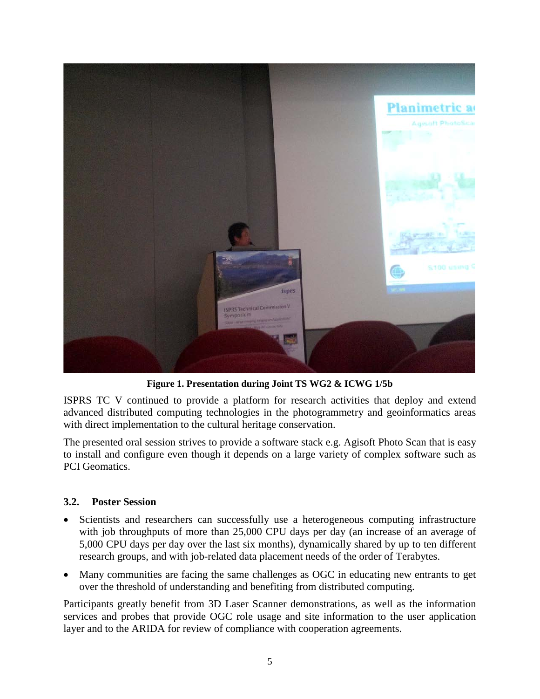

**Figure 1. Presentation during Joint TS WG2 & ICWG 1/5b**

<span id="page-4-0"></span>ISPRS TC V continued to provide a platform for research activities that deploy and extend advanced distributed computing technologies in the photogrammetry and geoinformatics areas with direct implementation to the cultural heritage conservation.

The presented oral session strives to provide a software stack e.g. Agisoft Photo Scan that is easy to install and configure even though it depends on a large variety of complex software such as PCI Geomatics.

## **3.2. Poster Session**

- Scientists and researchers can successfully use a heterogeneous computing infrastructure with job throughputs of more than 25,000 CPU days per day (an increase of an average of 5,000 CPU days per day over the last six months), dynamically shared by up to ten different research groups, and with job-related data placement needs of the order of Terabytes.
- Many communities are facing the same challenges as OGC in educating new entrants to get over the threshold of understanding and benefiting from distributed computing.

Participants greatly benefit from 3D Laser Scanner demonstrations, as well as the information services and probes that provide OGC role usage and site information to the user application layer and to the ARIDA for review of compliance with cooperation agreements.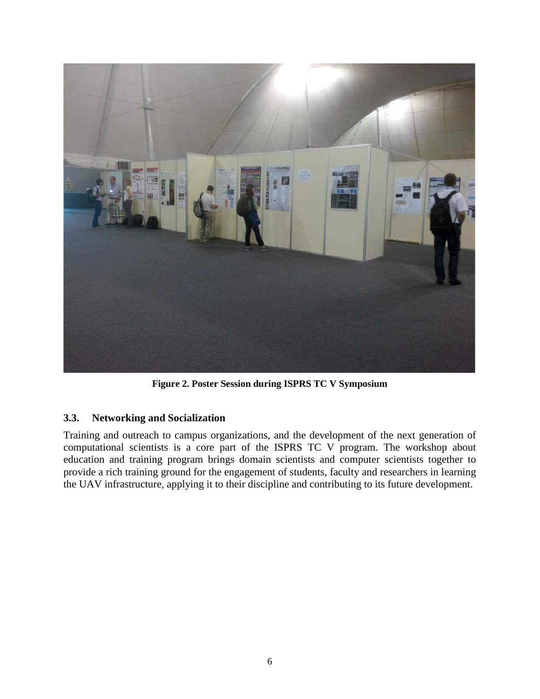

**Figure 2. Poster Session during ISPRS TC V Symposium**

## **3.3. Networking and Socialization**

Training and outreach to campus organizations, and the development of the next generation of computational scientists is a core part of the ISPRS TC V program. The workshop about education and training program brings domain scientists and computer scientists together to provide a rich training ground for the engagement of students, faculty and researchers in learning the UAV infrastructure, applying it to their discipline and contributing to its future development.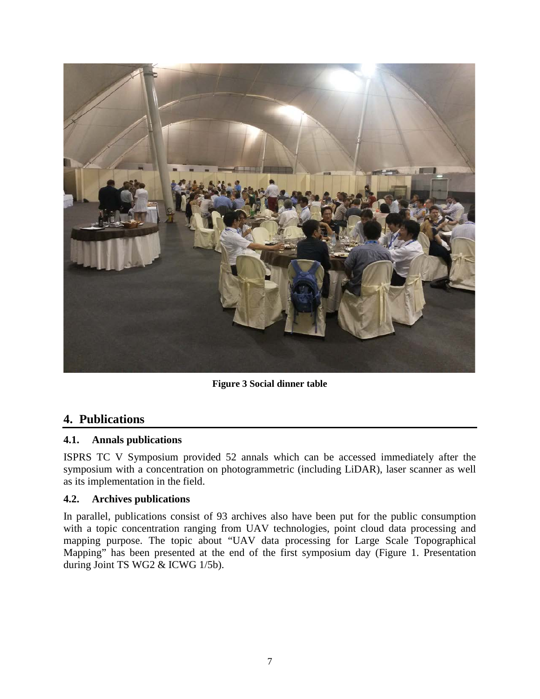

**Figure 3 Social dinner table**

## **4. Publications**

## **4.1. Annals publications**

ISPRS TC V Symposium provided 52 annals which can be accessed immediately after the symposium with a concentration on photogrammetric (including LiDAR), laser scanner as well as its implementation in the field.

## **4.2. Archives publications**

In parallel, publications consist of 93 archives also have been put for the public consumption with a topic concentration ranging from UAV technologies, point cloud data processing and mapping purpose. The topic about "UAV data processing for Large Scale Topographical Mapping" has been presented at the end of the first symposium day [\(Figure 1. Presentation](#page-4-0)  [during Joint TS WG2 & ICWG 1/5b\)](#page-4-0).